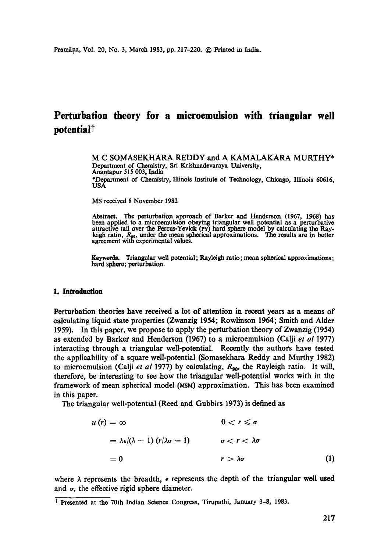# **Perturbation theory for a microemuision with triangular well**  potential<sup>†</sup>

M C SOMASEKHARA REDDY and A KAMALAKARA MURTHY\* Department of Chemistry, Sri Krishnadevaraya University, Anantapur 515 003, India \*Department of Chemistry, Illinois Institute of Technology, Chicago, Illinois 60616, USA

MS received 8 November 1982

Abstract. The perturbation approach of Barker and Henderson (1967, 1968) has been applied to a microemulsion obeying triangular well potential as a perturbative attractive tail over the Percus-Yevick (Pv) hard sphere model by calculating the Rayleigh ratio,  $R_{90}$ , under the mean spherical approximations. The results are in better agreement with experimental values.

**Keywords.** Triangular well potential; Rayleigh ratio; mean spherical approximations; hard sphere; perturbation.

#### **1. Introduction**

Perturbation theories have received a lot of attention in recent years as a means of calculating liquid state properties (Zwanzig 1954; Rowlinson 1964; Smith and Alder 1959). In this paper, we propose to apply the perturbation theory of Zwanzig (1954) as extended by Barker and Henderson (1967) to a microemulsion (Calji *et al* 1977) interacting through a triangular well-potential. Recently the authors have tested the applicability of a square well-potential (Somasekhara Reddy and Murthy 1982) to microemulsion (Calji *et al* 1977) by calculating, R<sub>90</sub>, the Rayleigh ratio. It will, therefore, be interesting to see how the triangular well-potential works with in the framework of mean spherical model (MSM) approximation. This has been examined in this paper.

The triangular well-potential (Reed and Gubbirs 1973) is defined as

$$
u(r) = \infty \qquad 0 < r \leq \sigma
$$
  
=  $\lambda \epsilon/(\lambda - 1) (r/\lambda \sigma - 1) \qquad \sigma < r < \lambda \sigma$   
= 0 \qquad r > \lambda \sigma \qquad (1)

where  $\lambda$  represents the breadth,  $\epsilon$  represents the depth of the triangular well used and  $\sigma$ , the effective rigid sphere diameter.

t Presented at the 70th Indian Science Congress, Tirupathi, January 3-8, 1983.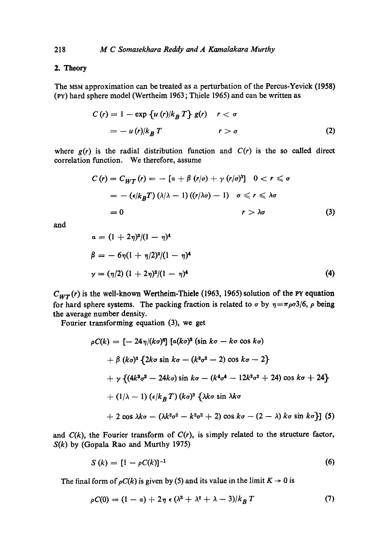## 2. Theory

The MSM approximation can be treated as a perturbation of the Pereus-Yeviek (1958) 0'Y) hard sphere model (Wertheim 1963 ; Thiele 1965) and can be written as

$$
C(r) = 1 - \exp \{ u(r) / k_B T \} g(r) \quad r < \sigma
$$
  
=  $- u(r) / k_B T$  \qquad r > \sigma (2)

where  $g(r)$  is the radial distribution function and  $C(r)$  is the so called direct correlation function. We therefore, assume

$$
C(r) = C_{WT}(r) = -[\alpha + \beta (r/\sigma) + \gamma (r/\sigma)^3] \quad 0 < r \leq \sigma
$$
  
= -(\epsilon/k\_BT)(\lambda/\lambda - 1)((r/\lambda\sigma) - 1) \quad \sigma \leq r \leq \lambda\sigma  
= 0 \qquad r > \lambda\sigma (3)

and

$$
\alpha = (1 + 2\eta)^2/(1 - \eta)^4
$$
  
\n
$$
\beta = -6\eta(1 + \eta/2)^2/(1 - \eta)^4
$$
  
\n
$$
\gamma = (\eta/2) (1 + 2\eta)^2/(1 - \eta)^4
$$
\n(4)

 $C_{WT}(r)$  is the well-known Wertheim-Thiele (1963, 1965) solution of the PY equation for hard sphere systems. The packing fraction is related to  $\sigma$  by  $\eta = \pi \rho \sigma^2/6$ ,  $\rho$  being the average number density.

Fourier transforming equation (3), we get

$$
\rho C(k) = \left[ -24\,\eta/(k\sigma)^6 \right] \left[ a(k\sigma)^3 \left( \sin k\sigma - k\sigma \cos k\sigma \right) \right.
$$
  
+ 
$$
\beta \left( k\sigma \right)^3 \left\{ 2k\sigma \sin k\sigma - (k^2\sigma^2 - 2) \cos k\sigma - 2 \right\}
$$
  
+ 
$$
\gamma \left\{ (4k^3\sigma^3 - 24k\sigma) \sin k\sigma - (k^4\sigma^4 - 12k^2\sigma^2 + 24) \cos k\sigma + 24 \right\}
$$
  
+ 
$$
(1/\lambda - 1) \left( \epsilon/k_B \, T \right) (k\sigma)^2 \left\{ \lambda k\sigma \sin k\sigma \right.
$$
  
+ 
$$
2 \cos \lambda k\sigma - (\lambda k^2\sigma^2 - k^2\sigma^2 + 2) \cos k\sigma - (2 - \lambda) k\sigma \sin k\sigma \right\} \right] (5)
$$

and  $C(k)$ , the Fourier transform of  $C(r)$ , is simply related to the structure factor, *S(k)* by (Gopala Rao and Murthy 1975)

$$
S(k) = [1 - \rho C(k)]^{-1}
$$
 (6)

The final form of  $\rho C(k)$  is given by (5) and its value in the limit  $K \to 0$  is

$$
\rho C(0) = (1 - a) + 2\eta \epsilon (\lambda^3 + \lambda^2 + \lambda - 3)/k_B T \tag{7}
$$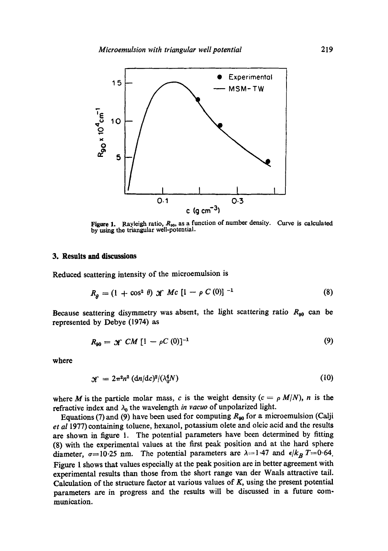

**Figure 1.** Rayleigh ratio,  $R_{90}$ , as a function of number density. by using the triangular well-potential. Curve is calculated

### **3. Results and discussions**

Reduced scattering intensity of the microemulsion is

$$
R_{\rho} = (1 + \cos^2 \theta) \mathcal{K} \; Mc \; [1 - \rho \; C \; (0)]^{-1} \tag{8}
$$

Because seattering disymmetry was absent, the light scattering ratio  $R_{g0}$  can be represented by Debye (1974) as

$$
R_{90} = \mathcal{K} \mathcal{CM} \left[ 1 - \rho C \left( 0 \right) \right]^{-1} \tag{9}
$$

where

$$
\mathcal{H} = 2\pi^2 n^2 (\mathrm{d}n/\mathrm{d}c)^2/(\lambda_0^4 N) \tag{10}
$$

where M is the particle molar mass, c is the weight density  $(c = \rho M/N)$ , n is the refractive index and  $\lambda_0$  the wavelength *in vacuo* of unpolarized light.

Equations (7) and (9) have been used for computing  $R_{90}$  for a microemulsion (Calji *et al* 1977) containing toluene, hexanol, potassium olete and oleic acid and the results are shown in figure 1. The potential parameters have been determined by fitting (8) with the experimental values at the first peak position and at the hard sphere diameter,  $\sigma=10.25$  nm. The potential parameters are  $\lambda=1.47$  and  $\epsilon/k_B T=0.64$ . Figure 1 shows that values especially at the peak position are in better agreement with experimental results than those from the short range van der Waals attractive tail. Calculation of the structure factor at various values of  $K$ , using the present potential parameters are in progress and the results will be discussed in a future communication.